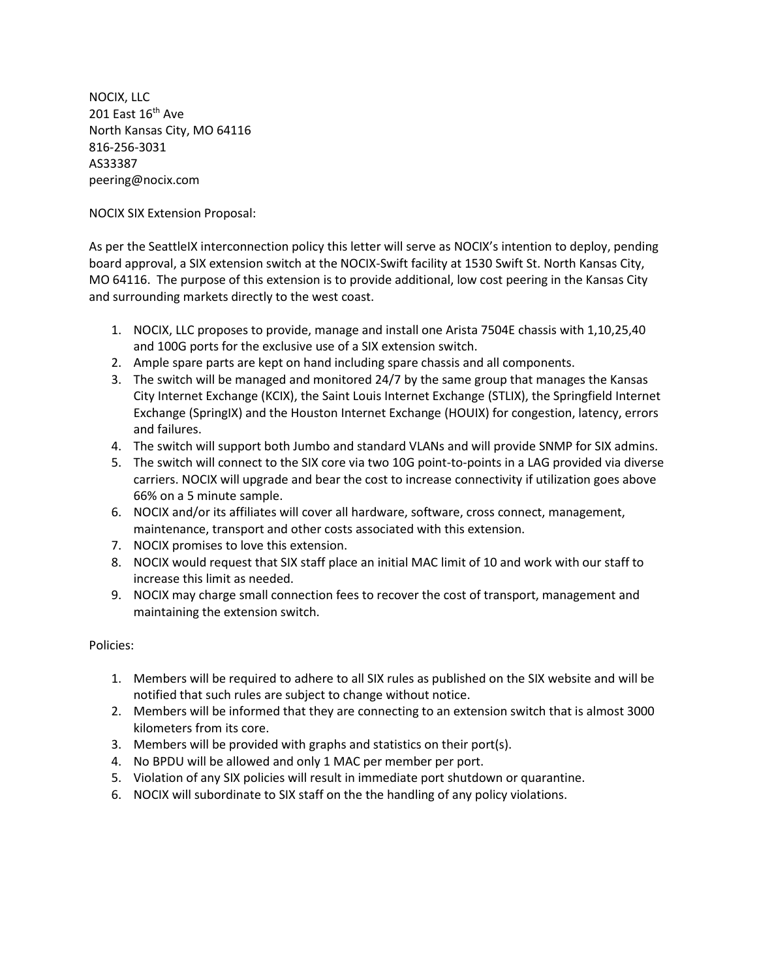NOCIX, LLC 201 East  $16^{\text{th}}$  Ave North Kansas City, MO 64116 816-256-3031 AS33387 peering@nocix.com

NOCIX SIX Extension Proposal:

As per the SeattleIX interconnection policy this letter will serve as NOCIX's intention to deploy, pending board approval, a SIX extension switch at the NOCIX-Swift facility at 1530 Swift St. North Kansas City, MO 64116. The purpose of this extension is to provide additional, low cost peering in the Kansas City and surrounding markets directly to the west coast.

- 1. NOCIX, LLC proposes to provide, manage and install one Arista 7504E chassis with 1,10,25,40 and 100G ports for the exclusive use of a SIX extension switch.
- 2. Ample spare parts are kept on hand including spare chassis and all components.
- 3. The switch will be managed and monitored 24/7 by the same group that manages the Kansas City Internet Exchange (KCIX), the Saint Louis Internet Exchange (STLIX), the Springfield Internet Exchange (SpringIX) and the Houston Internet Exchange (HOUIX) for congestion, latency, errors and failures.
- 4. The switch will support both Jumbo and standard VLANs and will provide SNMP for SIX admins.
- 5. The switch will connect to the SIX core via two 10G point-to-points in a LAG provided via diverse carriers. NOCIX will upgrade and bear the cost to increase connectivity if utilization goes above 66% on a 5 minute sample.
- 6. NOCIX and/or its affiliates will cover all hardware, software, cross connect, management, maintenance, transport and other costs associated with this extension.
- 7. NOCIX promises to love this extension.
- 8. NOCIX would request that SIX staff place an initial MAC limit of 10 and work with our staff to increase this limit as needed.
- 9. NOCIX may charge small connection fees to recover the cost of transport, management and maintaining the extension switch.

## Policies:

- 1. Members will be required to adhere to all SIX rules as published on the SIX website and will be notified that such rules are subject to change without notice.
- 2. Members will be informed that they are connecting to an extension switch that is almost 3000 kilometers from its core.
- 3. Members will be provided with graphs and statistics on their port(s).
- 4. No BPDU will be allowed and only 1 MAC per member per port.
- 5. Violation of any SIX policies will result in immediate port shutdown or quarantine.
- 6. NOCIX will subordinate to SIX staff on the the handling of any policy violations.